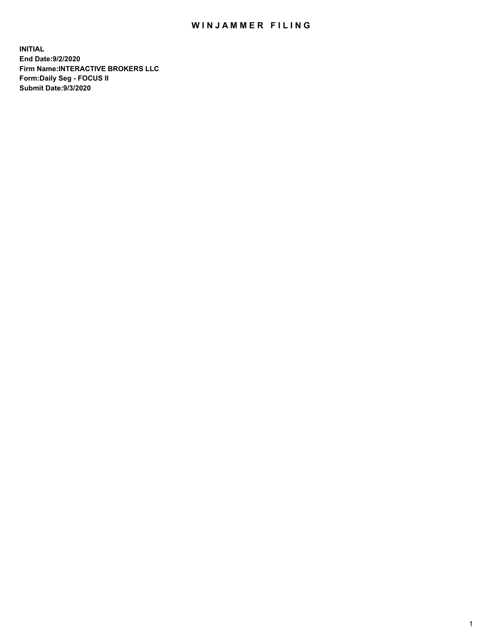## WIN JAMMER FILING

**INITIAL End Date:9/2/2020 Firm Name:INTERACTIVE BROKERS LLC Form:Daily Seg - FOCUS II Submit Date:9/3/2020**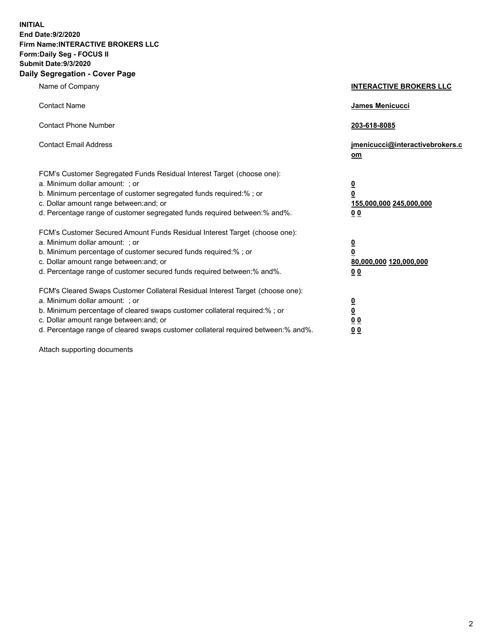**INITIAL End Date:9/2/2020 Firm Name:INTERACTIVE BROKERS LLC Form:Daily Seg - FOCUS II Submit Date:9/3/2020 Daily Segregation - Cover Page**

| Name of Company                                                                                                                                                                                                                                                                                                                | <b>INTERACTIVE BROKERS LLC</b>                                                                          |
|--------------------------------------------------------------------------------------------------------------------------------------------------------------------------------------------------------------------------------------------------------------------------------------------------------------------------------|---------------------------------------------------------------------------------------------------------|
| <b>Contact Name</b>                                                                                                                                                                                                                                                                                                            | James Menicucci                                                                                         |
| <b>Contact Phone Number</b>                                                                                                                                                                                                                                                                                                    | 203-618-8085                                                                                            |
| <b>Contact Email Address</b>                                                                                                                                                                                                                                                                                                   | jmenicucci@interactivebrokers.c<br>om                                                                   |
| FCM's Customer Segregated Funds Residual Interest Target (choose one):<br>a. Minimum dollar amount: ; or<br>b. Minimum percentage of customer segregated funds required:% ; or<br>c. Dollar amount range between: and; or<br>d. Percentage range of customer segregated funds required between: % and %.                       | $\overline{\mathbf{0}}$<br>$\overline{\mathbf{0}}$<br>155,000,000 245,000,000<br>0 <sub>0</sub>         |
| FCM's Customer Secured Amount Funds Residual Interest Target (choose one):<br>a. Minimum dollar amount: ; or<br>b. Minimum percentage of customer secured funds required:%; or<br>c. Dollar amount range between: and; or<br>d. Percentage range of customer secured funds required between:% and%.                            | $\overline{\mathbf{0}}$<br>$\overline{\mathbf{0}}$<br>80,000,000 120,000,000<br>0 <sub>0</sub>          |
| FCM's Cleared Swaps Customer Collateral Residual Interest Target (choose one):<br>a. Minimum dollar amount: ; or<br>b. Minimum percentage of cleared swaps customer collateral required:% ; or<br>c. Dollar amount range between: and; or<br>d. Percentage range of cleared swaps customer collateral required between:% and%. | $\overline{\mathbf{0}}$<br>$\overline{\mathbf{0}}$<br>$\underline{0}$ $\underline{0}$<br>0 <sub>0</sub> |

Attach supporting documents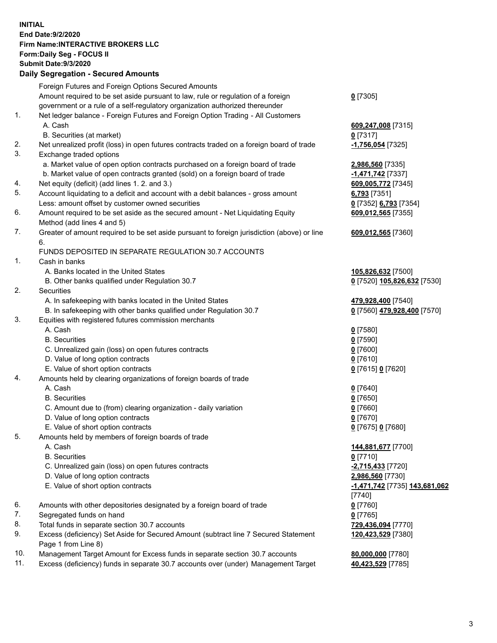**INITIAL End Date:9/2/2020 Firm Name:INTERACTIVE BROKERS LLC Form:Daily Seg - FOCUS II Submit Date:9/3/2020 Daily Segregation - Secured Amounts**

|     | Daily Segregation - Secured Amounts                                                         |                                             |
|-----|---------------------------------------------------------------------------------------------|---------------------------------------------|
|     | Foreign Futures and Foreign Options Secured Amounts                                         |                                             |
|     | Amount required to be set aside pursuant to law, rule or regulation of a foreign            | $0$ [7305]                                  |
|     | government or a rule of a self-regulatory organization authorized thereunder                |                                             |
| 1.  | Net ledger balance - Foreign Futures and Foreign Option Trading - All Customers             |                                             |
|     | A. Cash                                                                                     | 609,247,008 [7315]                          |
|     | B. Securities (at market)                                                                   | $0$ [7317]                                  |
| 2.  | Net unrealized profit (loss) in open futures contracts traded on a foreign board of trade   | -1,756,054 [7325]                           |
| 3.  | Exchange traded options                                                                     |                                             |
|     | a. Market value of open option contracts purchased on a foreign board of trade              | 2,986,560 [7335]                            |
|     | b. Market value of open contracts granted (sold) on a foreign board of trade                | $-1,471,742$ [7337]                         |
| 4.  | Net equity (deficit) (add lines 1. 2. and 3.)                                               | 609,005,772 [7345]                          |
| 5.  | Account liquidating to a deficit and account with a debit balances - gross amount           | 6,793 [7351]                                |
|     | Less: amount offset by customer owned securities                                            | 0 [7352] 6,793 [7354]                       |
| 6.  | Amount required to be set aside as the secured amount - Net Liquidating Equity              | 609,012,565 [7355]                          |
|     | Method (add lines 4 and 5)                                                                  |                                             |
| 7.  | Greater of amount required to be set aside pursuant to foreign jurisdiction (above) or line | 609,012,565 [7360]                          |
|     | 6.                                                                                          |                                             |
|     | FUNDS DEPOSITED IN SEPARATE REGULATION 30.7 ACCOUNTS                                        |                                             |
| 1.  | Cash in banks                                                                               |                                             |
|     | A. Banks located in the United States                                                       | 105,826,632 [7500]                          |
|     | B. Other banks qualified under Regulation 30.7                                              | 0 [7520] 105,826,632 [7530]                 |
| 2.  | <b>Securities</b>                                                                           |                                             |
|     | A. In safekeeping with banks located in the United States                                   | 479,928,400 [7540]                          |
|     | B. In safekeeping with other banks qualified under Regulation 30.7                          | 0 [7560] 479,928,400 [7570]                 |
| 3.  | Equities with registered futures commission merchants                                       |                                             |
|     | A. Cash                                                                                     | $0$ [7580]                                  |
|     | <b>B.</b> Securities                                                                        | $0$ [7590]                                  |
|     | C. Unrealized gain (loss) on open futures contracts                                         | $0$ [7600]                                  |
|     | D. Value of long option contracts                                                           | $0$ [7610]                                  |
|     | E. Value of short option contracts                                                          | 0 [7615] 0 [7620]                           |
| 4.  | Amounts held by clearing organizations of foreign boards of trade                           |                                             |
|     | A. Cash                                                                                     | $0$ [7640]                                  |
|     | <b>B.</b> Securities                                                                        | $0$ [7650]                                  |
|     | C. Amount due to (from) clearing organization - daily variation                             | $0$ [7660]                                  |
|     | D. Value of long option contracts                                                           | $0$ [7670]                                  |
|     | E. Value of short option contracts                                                          | 0 [7675] 0 [7680]                           |
| 5.  | Amounts held by members of foreign boards of trade                                          |                                             |
|     | A. Cash                                                                                     | 144,881,677 [7700]                          |
|     | <b>B.</b> Securities                                                                        | $0$ [7710]                                  |
|     | C. Unrealized gain (loss) on open futures contracts                                         | $-2,715,433$ [7720]                         |
|     | D. Value of long option contracts                                                           | 2,986,560 [7730]                            |
|     | E. Value of short option contracts                                                          | <u>-1,471,742</u> [7735] <u>143,681,062</u> |
|     |                                                                                             | [7740]                                      |
| 6.  | Amounts with other depositories designated by a foreign board of trade                      | $0$ [7760]                                  |
| 7.  | Segregated funds on hand                                                                    | $0$ [7765]                                  |
| 8.  | Total funds in separate section 30.7 accounts                                               | 729,436,094 [7770]                          |
| 9.  | Excess (deficiency) Set Aside for Secured Amount (subtract line 7 Secured Statement         | 120,423,529 [7380]                          |
|     | Page 1 from Line 8)                                                                         |                                             |
| 10. | Management Target Amount for Excess funds in separate section 30.7 accounts                 | 80,000,000 [7780]                           |
| 11. | Excess (deficiency) funds in separate 30.7 accounts over (under) Management Target          | 40,423,529 [7785]                           |
|     |                                                                                             |                                             |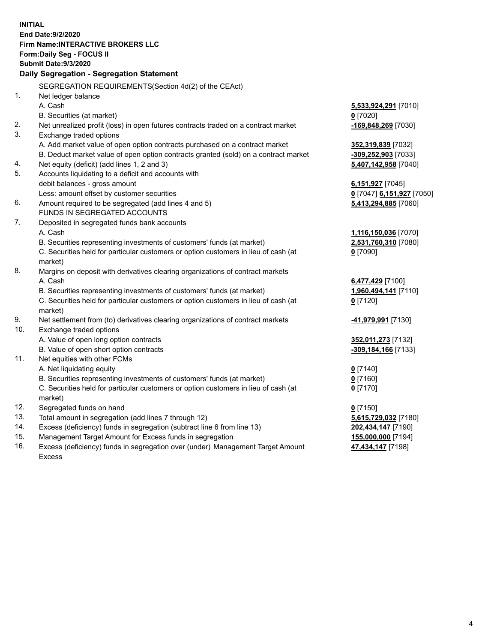**INITIAL End Date:9/2/2020 Firm Name:INTERACTIVE BROKERS LLC Form:Daily Seg - FOCUS II Submit Date:9/3/2020 Daily Segregation - Segregation Statement** SEGREGATION REQUIREMENTS(Section 4d(2) of the CEAct) 1. Net ledger balance A. Cash **5,533,924,291** [7010] B. Securities (at market) **0** [7020] 2. Net unrealized profit (loss) in open futures contracts traded on a contract market **-169,848,269** [7030] 3. Exchange traded options A. Add market value of open option contracts purchased on a contract market **352,319,839** [7032] B. Deduct market value of open option contracts granted (sold) on a contract market **-309,252,903** [7033] 4. Net equity (deficit) (add lines 1, 2 and 3) **5,407,142,958** [7040] 5. Accounts liquidating to a deficit and accounts with debit balances - gross amount **6,151,927** [7045] Less: amount offset by customer securities **0** [7047] **6,151,927** [7050] 6. Amount required to be segregated (add lines 4 and 5) **5,413,294,885** [7060] FUNDS IN SEGREGATED ACCOUNTS 7. Deposited in segregated funds bank accounts A. Cash **1,116,150,036** [7070] B. Securities representing investments of customers' funds (at market) **2,531,760,310** [7080] C. Securities held for particular customers or option customers in lieu of cash (at market) **0** [7090] 8. Margins on deposit with derivatives clearing organizations of contract markets A. Cash **6,477,429** [7100] B. Securities representing investments of customers' funds (at market) **1,960,494,141** [7110] C. Securities held for particular customers or option customers in lieu of cash (at market) **0** [7120] 9. Net settlement from (to) derivatives clearing organizations of contract markets **-41,979,991** [7130] 10. Exchange traded options A. Value of open long option contracts **352,011,273** [7132] B. Value of open short option contracts **-309,184,166** [7133] 11. Net equities with other FCMs A. Net liquidating equity **0** [7140] B. Securities representing investments of customers' funds (at market) **0** [7160] C. Securities held for particular customers or option customers in lieu of cash (at market) **0** [7170] 12. Segregated funds on hand **0** [7150] 13. Total amount in segregation (add lines 7 through 12) **5,615,729,032** [7180] 14. Excess (deficiency) funds in segregation (subtract line 6 from line 13) **202,434,147** [7190] 15. Management Target Amount for Excess funds in segregation **155,000,000** [7194] 16. Excess (deficiency) funds in segregation over (under) Management Target Amount Excess **47,434,147** [7198]